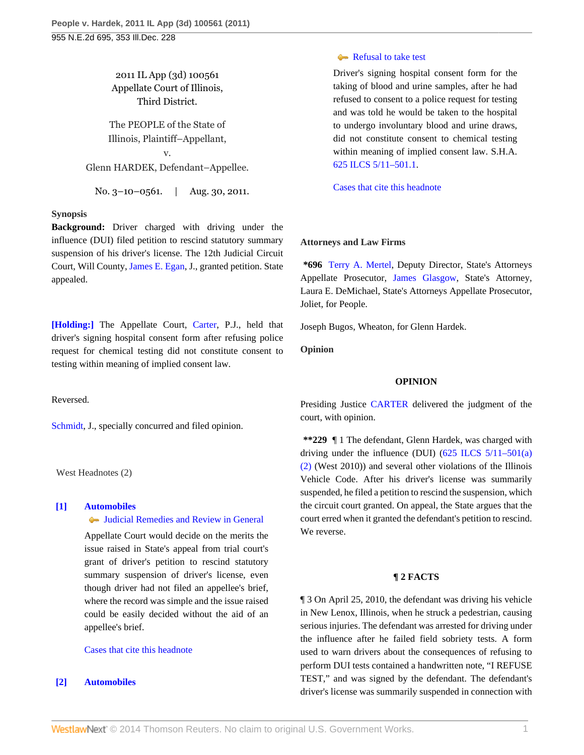2011 IL App (3d) 100561 Appellate Court of Illinois, Third District.

The PEOPLE of the State of Illinois, Plaintiff–Appellant,

v. Glenn HARDEK, Defendant–Appellee.

No. 3–10–0561. | Aug. 30, 2011.

# **Synopsis**

**Background:** Driver charged with driving under the influence (DUI) filed petition to rescind statutory summary suspension of his driver's license. The 12th Judicial Circuit Court, Will County, [James E. Egan,](http://www.westlaw.com/Link/Document/FullText?findType=h&pubNum=176284&cite=0290212401&originatingDoc=I4a437391d82c11e0be8fdb5fa26a1033&refType=RQ&originationContext=document&vr=3.0&rs=cblt1.0&transitionType=DocumentItem&contextData=(sc.Search)) J., granted petition. State appealed.

**[\[Holding:\]](#page-0-0)** The Appellate Court, [Carter](http://www.westlaw.com/Link/Document/FullText?findType=h&pubNum=176284&cite=0144602901&originatingDoc=I4a437391d82c11e0be8fdb5fa26a1033&refType=RQ&originationContext=document&vr=3.0&rs=cblt1.0&transitionType=DocumentItem&contextData=(sc.Search)), P.J., held that driver's signing hospital consent form after refusing police request for chemical testing did not constitute consent to testing within meaning of implied consent law.

Reversed.

[Schmidt](http://www.westlaw.com/Link/Document/FullText?findType=h&pubNum=176284&cite=0163914201&originatingDoc=I4a437391d82c11e0be8fdb5fa26a1033&refType=RQ&originationContext=document&vr=3.0&rs=cblt1.0&transitionType=DocumentItem&contextData=(sc.Search)), J., specially concurred and filed opinion.

West Headnotes (2)

# <span id="page-0-1"></span>**[\[1\]](#page-1-0) [Automobiles](http://www.westlaw.com/Browse/Home/KeyNumber/48A/View.html?docGuid=I4a437391d82c11e0be8fdb5fa26a1033&originationContext=document&vr=3.0&rs=cblt1.0&transitionType=DocumentItem&contextData=(sc.Search))**

[Judicial Remedies and Review in General](http://www.westlaw.com/Browse/Home/KeyNumber/48Ak144.2(2)/View.html?docGuid=I4a437391d82c11e0be8fdb5fa26a1033&originationContext=document&vr=3.0&rs=cblt1.0&transitionType=DocumentItem&contextData=(sc.Search))

Appellate Court would decide on the merits the issue raised in State's appeal from trial court's grant of driver's petition to rescind statutory summary suspension of driver's license, even though driver had not filed an appellee's brief, where the record was simple and the issue raised could be easily decided without the aid of an appellee's brief.

# [Cases that cite this headnote](http://www.westlaw.com/Link/RelatedInformation/DocHeadnoteLink?docGuid=I4a437391d82c11e0be8fdb5fa26a1033&headnoteId=202607824400120120221215832&originationContext=document&vr=3.0&rs=cblt1.0&transitionType=CitingReferences&contextData=(sc.Search))

# <span id="page-0-0"></span>**[\[2\]](#page-1-1) [Automobiles](http://www.westlaw.com/Browse/Home/KeyNumber/48A/View.html?docGuid=I4a437391d82c11e0be8fdb5fa26a1033&originationContext=document&vr=3.0&rs=cblt1.0&transitionType=DocumentItem&contextData=(sc.Search))**

#### [Refusal to take test](http://www.westlaw.com/Browse/Home/KeyNumber/48Ak144.1(1.20)/View.html?docGuid=I4a437391d82c11e0be8fdb5fa26a1033&originationContext=document&vr=3.0&rs=cblt1.0&transitionType=DocumentItem&contextData=(sc.Search))

Driver's signing hospital consent form for the taking of blood and urine samples, after he had refused to consent to a police request for testing and was told he would be taken to the hospital to undergo involuntary blood and urine draws, did not constitute consent to chemical testing within meaning of implied consent law. S.H.A. [625 ILCS 5/11–501.1](http://www.westlaw.com/Link/Document/FullText?findType=L&pubNum=1000008&cite=IL625S5%2f11-501.1&originatingDoc=I4a437391d82c11e0be8fdb5fa26a1033&refType=LQ&originationContext=document&vr=3.0&rs=cblt1.0&transitionType=DocumentItem&contextData=(sc.Search)).

[Cases that cite this headnote](http://www.westlaw.com/Link/RelatedInformation/DocHeadnoteLink?docGuid=I4a437391d82c11e0be8fdb5fa26a1033&headnoteId=202607824400220120221215832&originationContext=document&vr=3.0&rs=cblt1.0&transitionType=CitingReferences&contextData=(sc.Search))

#### **Attorneys and Law Firms**

**\*696** [Terry A. Mertel,](http://www.westlaw.com/Link/Document/FullText?findType=h&pubNum=176284&cite=0221901701&originatingDoc=I4a437391d82c11e0be8fdb5fa26a1033&refType=RQ&originationContext=document&vr=3.0&rs=cblt1.0&transitionType=DocumentItem&contextData=(sc.Search)) Deputy Director, State's Attorneys Appellate Prosecutor, [James Glasgow,](http://www.westlaw.com/Link/Document/FullText?findType=h&pubNum=176284&cite=0124771901&originatingDoc=I4a437391d82c11e0be8fdb5fa26a1033&refType=RQ&originationContext=document&vr=3.0&rs=cblt1.0&transitionType=DocumentItem&contextData=(sc.Search)) State's Attorney, Laura E. DeMichael, State's Attorneys Appellate Prosecutor, Joliet, for People.

Joseph Bugos, Wheaton, for Glenn Hardek.

**Opinion**

#### **OPINION**

Presiding Justice [CARTER](http://www.westlaw.com/Link/Document/FullText?findType=h&pubNum=176284&cite=0144602901&originatingDoc=I4a437391d82c11e0be8fdb5fa26a1033&refType=RQ&originationContext=document&vr=3.0&rs=cblt1.0&transitionType=DocumentItem&contextData=(sc.Search)) delivered the judgment of the court, with opinion.

**\*\*229** ¶ 1 The defendant, Glenn Hardek, was charged with driving under the influence (DUI)  $(625 \text{ ILCS } 5/11-501(a))$ [\(2\)](http://www.westlaw.com/Link/Document/FullText?findType=L&pubNum=1000008&cite=IL625S5%2f11-501&originatingDoc=I4a437391d82c11e0be8fdb5fa26a1033&refType=SP&originationContext=document&vr=3.0&rs=cblt1.0&transitionType=DocumentItem&contextData=(sc.Search)#co_pp_d86d0000be040) (West 2010)) and several other violations of the Illinois Vehicle Code. After his driver's license was summarily suspended, he filed a petition to rescind the suspension, which the circuit court granted. On appeal, the State argues that the court erred when it granted the defendant's petition to rescind. We reverse.

## **¶ 2 FACTS**

¶ 3 On April 25, 2010, the defendant was driving his vehicle in New Lenox, Illinois, when he struck a pedestrian, causing serious injuries. The defendant was arrested for driving under the influence after he failed field sobriety tests. A form used to warn drivers about the consequences of refusing to perform DUI tests contained a handwritten note, "I REFUSE TEST," and was signed by the defendant. The defendant's driver's license was summarily suspended in connection with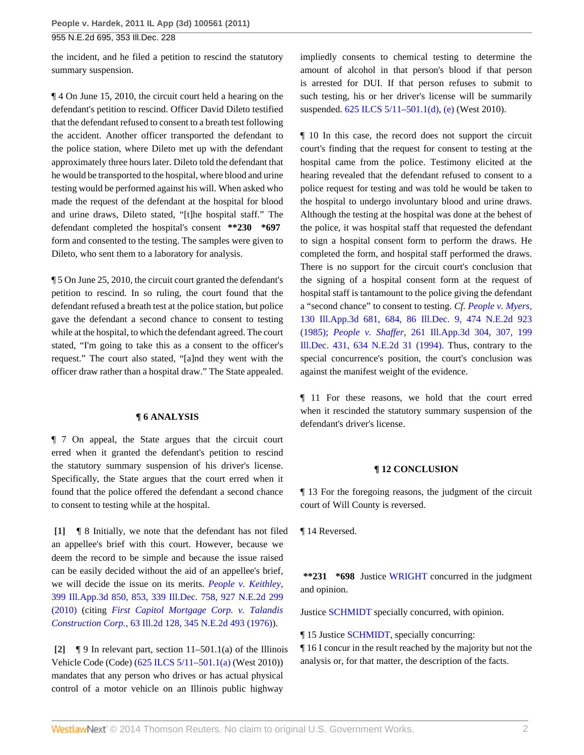955 N.E.2d 695, 353 Ill.Dec. 228

the incident, and he filed a petition to rescind the statutory summary suspension.

¶ 4 On June 15, 2010, the circuit court held a hearing on the defendant's petition to rescind. Officer David Dileto testified that the defendant refused to consent to a breath test following the accident. Another officer transported the defendant to the police station, where Dileto met up with the defendant approximately three hours later. Dileto told the defendant that he would be transported to the hospital, where blood and urine testing would be performed against his will. When asked who made the request of the defendant at the hospital for blood and urine draws, Dileto stated, "[t]he hospital staff." The defendant completed the hospital's consent **\*\*230 \*697** form and consented to the testing. The samples were given to Dileto, who sent them to a laboratory for analysis.

¶ 5 On June 25, 2010, the circuit court granted the defendant's petition to rescind. In so ruling, the court found that the defendant refused a breath test at the police station, but police gave the defendant a second chance to consent to testing while at the hospital, to which the defendant agreed. The court stated, "I'm going to take this as a consent to the officer's request." The court also stated, "[a]nd they went with the officer draw rather than a hospital draw." The State appealed.

## **¶ 6 ANALYSIS**

¶ 7 On appeal, the State argues that the circuit court erred when it granted the defendant's petition to rescind the statutory summary suspension of his driver's license. Specifically, the State argues that the court erred when it found that the police offered the defendant a second chance to consent to testing while at the hospital.

<span id="page-1-0"></span>**[\[1\]](#page-0-1)** ¶ 8 Initially, we note that the defendant has not filed an appellee's brief with this court. However, because we deem the record to be simple and because the issue raised can be easily decided without the aid of an appellee's brief, we will decide the issue on its merits. *[People v. Keithley,](http://www.westlaw.com/Link/Document/FullText?findType=Y&serNum=2021810663&pubNum=578&originationContext=document&vr=3.0&rs=cblt1.0&transitionType=DocumentItem&contextData=(sc.Search))* [399 Ill.App.3d 850, 853, 339 Ill.Dec. 758, 927 N.E.2d 299](http://www.westlaw.com/Link/Document/FullText?findType=Y&serNum=2021810663&pubNum=578&originationContext=document&vr=3.0&rs=cblt1.0&transitionType=DocumentItem&contextData=(sc.Search)) [\(2010\)](http://www.westlaw.com/Link/Document/FullText?findType=Y&serNum=2021810663&pubNum=578&originationContext=document&vr=3.0&rs=cblt1.0&transitionType=DocumentItem&contextData=(sc.Search)) (citing *[First Capitol Mortgage Corp. v. Talandis](http://www.westlaw.com/Link/Document/FullText?findType=Y&serNum=1976106934&pubNum=578&originationContext=document&vr=3.0&rs=cblt1.0&transitionType=DocumentItem&contextData=(sc.Search)) Construction Corp.,* [63 Ill.2d 128, 345 N.E.2d 493 \(1976\)\)](http://www.westlaw.com/Link/Document/FullText?findType=Y&serNum=1976106934&pubNum=578&originationContext=document&vr=3.0&rs=cblt1.0&transitionType=DocumentItem&contextData=(sc.Search)).

<span id="page-1-1"></span>**[\[2\]](#page-0-0)** ¶ 9 In relevant part, section 11–501.1(a) of the Illinois Vehicle Code (Code) [\(625 ILCS 5/11–501.1\(a\)](http://www.westlaw.com/Link/Document/FullText?findType=L&pubNum=1000008&cite=IL625S5%2f11-501.1&originatingDoc=I4a437391d82c11e0be8fdb5fa26a1033&refType=SP&originationContext=document&vr=3.0&rs=cblt1.0&transitionType=DocumentItem&contextData=(sc.Search)#co_pp_8b3b0000958a4) (West 2010)) mandates that any person who drives or has actual physical control of a motor vehicle on an Illinois public highway

impliedly consents to chemical testing to determine the amount of alcohol in that person's blood if that person is arrested for DUI. If that person refuses to submit to such testing, his or her driver's license will be summarily suspended. [625 ILCS 5/11–501.1\(d\)](http://www.westlaw.com/Link/Document/FullText?findType=L&pubNum=1000008&cite=IL625S5%2f11-501.1&originatingDoc=I4a437391d82c11e0be8fdb5fa26a1033&refType=SP&originationContext=document&vr=3.0&rs=cblt1.0&transitionType=DocumentItem&contextData=(sc.Search)#co_pp_5ba1000067d06), [\(e\)](http://www.westlaw.com/Link/Document/FullText?findType=L&pubNum=1000008&cite=IL625S5%2f11-501.1&originatingDoc=I4a437391d82c11e0be8fdb5fa26a1033&refType=SP&originationContext=document&vr=3.0&rs=cblt1.0&transitionType=DocumentItem&contextData=(sc.Search)#co_pp_7fdd00001ca15) (West 2010).

¶ 10 In this case, the record does not support the circuit court's finding that the request for consent to testing at the hospital came from the police. Testimony elicited at the hearing revealed that the defendant refused to consent to a police request for testing and was told he would be taken to the hospital to undergo involuntary blood and urine draws. Although the testing at the hospital was done at the behest of the police, it was hospital staff that requested the defendant to sign a hospital consent form to perform the draws. He completed the form, and hospital staff performed the draws. There is no support for the circuit court's conclusion that the signing of a hospital consent form at the request of hospital staff is tantamount to the police giving the defendant a "second chance" to consent to testing. *Cf. [People v. Myers,](http://www.westlaw.com/Link/Document/FullText?findType=Y&serNum=1985108709&pubNum=578&originationContext=document&vr=3.0&rs=cblt1.0&transitionType=DocumentItem&contextData=(sc.Search))* [130 Ill.App.3d 681, 684, 86 Ill.Dec. 9, 474 N.E.2d 923](http://www.westlaw.com/Link/Document/FullText?findType=Y&serNum=1985108709&pubNum=578&originationContext=document&vr=3.0&rs=cblt1.0&transitionType=DocumentItem&contextData=(sc.Search)) [\(1985\);](http://www.westlaw.com/Link/Document/FullText?findType=Y&serNum=1985108709&pubNum=578&originationContext=document&vr=3.0&rs=cblt1.0&transitionType=DocumentItem&contextData=(sc.Search)) *People v. Shaffer,* [261 Ill.App.3d 304, 307, 199](http://www.westlaw.com/Link/Document/FullText?findType=Y&serNum=1994103642&pubNum=578&originationContext=document&vr=3.0&rs=cblt1.0&transitionType=DocumentItem&contextData=(sc.Search)) [Ill.Dec. 431, 634 N.E.2d 31 \(1994\)](http://www.westlaw.com/Link/Document/FullText?findType=Y&serNum=1994103642&pubNum=578&originationContext=document&vr=3.0&rs=cblt1.0&transitionType=DocumentItem&contextData=(sc.Search)). Thus, contrary to the special concurrence's position, the court's conclusion was against the manifest weight of the evidence.

¶ 11 For these reasons, we hold that the court erred when it rescinded the statutory summary suspension of the defendant's driver's license.

# **¶ 12 CONCLUSION**

¶ 13 For the foregoing reasons, the judgment of the circuit court of Will County is reversed.

¶ 14 Reversed.

**\*\*231 \*698** Justice [WRIGHT](http://www.westlaw.com/Link/Document/FullText?findType=h&pubNum=176284&cite=0139707701&originatingDoc=I4a437391d82c11e0be8fdb5fa26a1033&refType=RQ&originationContext=document&vr=3.0&rs=cblt1.0&transitionType=DocumentItem&contextData=(sc.Search)) concurred in the judgment and opinion.

Justice [SCHMIDT](http://www.westlaw.com/Link/Document/FullText?findType=h&pubNum=176284&cite=0163914201&originatingDoc=I4a437391d82c11e0be8fdb5fa26a1033&refType=RQ&originationContext=document&vr=3.0&rs=cblt1.0&transitionType=DocumentItem&contextData=(sc.Search)) specially concurred, with opinion.

¶ 15 Justice [SCHMIDT](http://www.westlaw.com/Link/Document/FullText?findType=h&pubNum=176284&cite=0163914201&originatingDoc=I4a437391d82c11e0be8fdb5fa26a1033&refType=RQ&originationContext=document&vr=3.0&rs=cblt1.0&transitionType=DocumentItem&contextData=(sc.Search)), specially concurring:

¶ 16 I concur in the result reached by the majority but not the analysis or, for that matter, the description of the facts.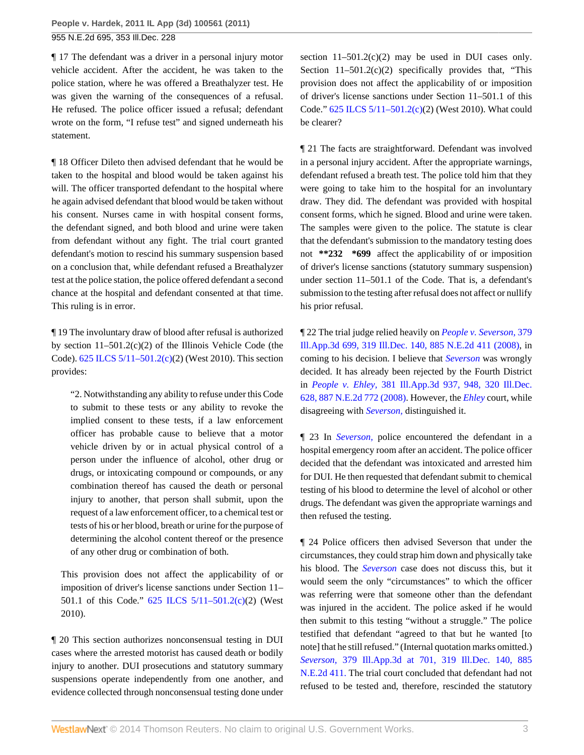¶ 17 The defendant was a driver in a personal injury motor vehicle accident. After the accident, he was taken to the police station, where he was offered a Breathalyzer test. He was given the warning of the consequences of a refusal. He refused. The police officer issued a refusal; defendant wrote on the form, "I refuse test" and signed underneath his statement.

¶ 18 Officer Dileto then advised defendant that he would be taken to the hospital and blood would be taken against his will. The officer transported defendant to the hospital where he again advised defendant that blood would be taken without his consent. Nurses came in with hospital consent forms, the defendant signed, and both blood and urine were taken from defendant without any fight. The trial court granted defendant's motion to rescind his summary suspension based on a conclusion that, while defendant refused a Breathalyzer test at the police station, the police offered defendant a second chance at the hospital and defendant consented at that time. This ruling is in error.

¶ 19 The involuntary draw of blood after refusal is authorized by section 11–501.2(c)(2) of the Illinois Vehicle Code (the Code). [625 ILCS 5/11–501.2\(c\)\(](http://www.westlaw.com/Link/Document/FullText?findType=L&pubNum=1000008&cite=IL625S5%2f11-501.2&originatingDoc=I4a437391d82c11e0be8fdb5fa26a1033&refType=SP&originationContext=document&vr=3.0&rs=cblt1.0&transitionType=DocumentItem&contextData=(sc.Search)#co_pp_4b24000003ba5)2) (West 2010). This section provides:

"2. Notwithstanding any ability to refuse under this Code to submit to these tests or any ability to revoke the implied consent to these tests, if a law enforcement officer has probable cause to believe that a motor vehicle driven by or in actual physical control of a person under the influence of alcohol, other drug or drugs, or intoxicating compound or compounds, or any combination thereof has caused the death or personal injury to another, that person shall submit, upon the request of a law enforcement officer, to a chemical test or tests of his or her blood, breath or urine for the purpose of determining the alcohol content thereof or the presence of any other drug or combination of both.

This provision does not affect the applicability of or imposition of driver's license sanctions under Section 11– 501.1 of this Code." [625 ILCS 5/11–501.2\(c\)](http://www.westlaw.com/Link/Document/FullText?findType=L&pubNum=1000008&cite=IL625S5%2f11-501.2&originatingDoc=I4a437391d82c11e0be8fdb5fa26a1033&refType=SP&originationContext=document&vr=3.0&rs=cblt1.0&transitionType=DocumentItem&contextData=(sc.Search)#co_pp_4b24000003ba5)(2) (West 2010).

¶ 20 This section authorizes nonconsensual testing in DUI cases where the arrested motorist has caused death or bodily injury to another. DUI prosecutions and statutory summary suspensions operate independently from one another, and evidence collected through nonconsensual testing done under

section  $11-501.2(c)(2)$  may be used in DUI cases only. Section  $11-501.2(c)(2)$  specifically provides that, "This provision does not affect the applicability of or imposition of driver's license sanctions under Section 11–501.1 of this Code." [625 ILCS 5/11–501.2\(c\)](http://www.westlaw.com/Link/Document/FullText?findType=L&pubNum=1000008&cite=IL625S5%2f11-501.2&originatingDoc=I4a437391d82c11e0be8fdb5fa26a1033&refType=SP&originationContext=document&vr=3.0&rs=cblt1.0&transitionType=DocumentItem&contextData=(sc.Search)#co_pp_4b24000003ba5)(2) (West 2010). What could be clearer?

¶ 21 The facts are straightforward. Defendant was involved in a personal injury accident. After the appropriate warnings, defendant refused a breath test. The police told him that they were going to take him to the hospital for an involuntary draw. They did. The defendant was provided with hospital consent forms, which he signed. Blood and urine were taken. The samples were given to the police. The statute is clear that the defendant's submission to the mandatory testing does not **\*\*232 \*699** affect the applicability of or imposition of driver's license sanctions (statutory summary suspension) under section 11–501.1 of the Code. That is, a defendant's submission to the testing after refusal does not affect or nullify his prior refusal.

¶ 22 The trial judge relied heavily on *[People v. Severson,](http://www.westlaw.com/Link/Document/FullText?findType=Y&serNum=2015472122&pubNum=578&originationContext=document&vr=3.0&rs=cblt1.0&transitionType=DocumentItem&contextData=(sc.Search))* 379 [Ill.App.3d 699, 319 Ill.Dec. 140, 885 N.E.2d 411 \(2008\),](http://www.westlaw.com/Link/Document/FullText?findType=Y&serNum=2015472122&pubNum=578&originationContext=document&vr=3.0&rs=cblt1.0&transitionType=DocumentItem&contextData=(sc.Search)) in coming to his decision. I believe that *[Severson](http://www.westlaw.com/Link/Document/FullText?findType=Y&serNum=2015472122&originationContext=document&vr=3.0&rs=cblt1.0&transitionType=DocumentItem&contextData=(sc.Search))* was wrongly decided. It has already been rejected by the Fourth District in *People v. Ehley,* [381 Ill.App.3d 937, 948, 320 Ill.Dec.](http://www.westlaw.com/Link/Document/FullText?findType=Y&serNum=2015894602&pubNum=578&originationContext=document&vr=3.0&rs=cblt1.0&transitionType=DocumentItem&contextData=(sc.Search)) [628, 887 N.E.2d 772 \(2008\).](http://www.westlaw.com/Link/Document/FullText?findType=Y&serNum=2015894602&pubNum=578&originationContext=document&vr=3.0&rs=cblt1.0&transitionType=DocumentItem&contextData=(sc.Search)) However, the *[Ehley](http://www.westlaw.com/Link/Document/FullText?findType=Y&serNum=2015894602&originationContext=document&vr=3.0&rs=cblt1.0&transitionType=DocumentItem&contextData=(sc.Search))* court, while disagreeing with *[Severson,](http://www.westlaw.com/Link/Document/FullText?findType=Y&serNum=2015472122&originationContext=document&vr=3.0&rs=cblt1.0&transitionType=DocumentItem&contextData=(sc.Search))* distinguished it.

¶ 23 In *[Severson,](http://www.westlaw.com/Link/Document/FullText?findType=Y&serNum=2015472122&originationContext=document&vr=3.0&rs=cblt1.0&transitionType=DocumentItem&contextData=(sc.Search))* police encountered the defendant in a hospital emergency room after an accident. The police officer decided that the defendant was intoxicated and arrested him for DUI. He then requested that defendant submit to chemical testing of his blood to determine the level of alcohol or other drugs. The defendant was given the appropriate warnings and then refused the testing.

¶ 24 Police officers then advised Severson that under the circumstances, they could strap him down and physically take his blood. The *[Severson](http://www.westlaw.com/Link/Document/FullText?findType=Y&serNum=2015472122&originationContext=document&vr=3.0&rs=cblt1.0&transitionType=DocumentItem&contextData=(sc.Search))* case does not discuss this, but it would seem the only "circumstances" to which the officer was referring were that someone other than the defendant was injured in the accident. The police asked if he would then submit to this testing "without a struggle." The police testified that defendant "agreed to that but he wanted [to note] that he still refused." (Internal quotation marks omitted.) *Severson,* [379 Ill.App.3d at 701, 319 Ill.Dec. 140, 885](http://www.westlaw.com/Link/Document/FullText?findType=Y&serNum=2015472122&pubNum=578&originationContext=document&vr=3.0&rs=cblt1.0&transitionType=DocumentItem&contextData=(sc.Search)) [N.E.2d 411.](http://www.westlaw.com/Link/Document/FullText?findType=Y&serNum=2015472122&pubNum=578&originationContext=document&vr=3.0&rs=cblt1.0&transitionType=DocumentItem&contextData=(sc.Search)) The trial court concluded that defendant had not refused to be tested and, therefore, rescinded the statutory